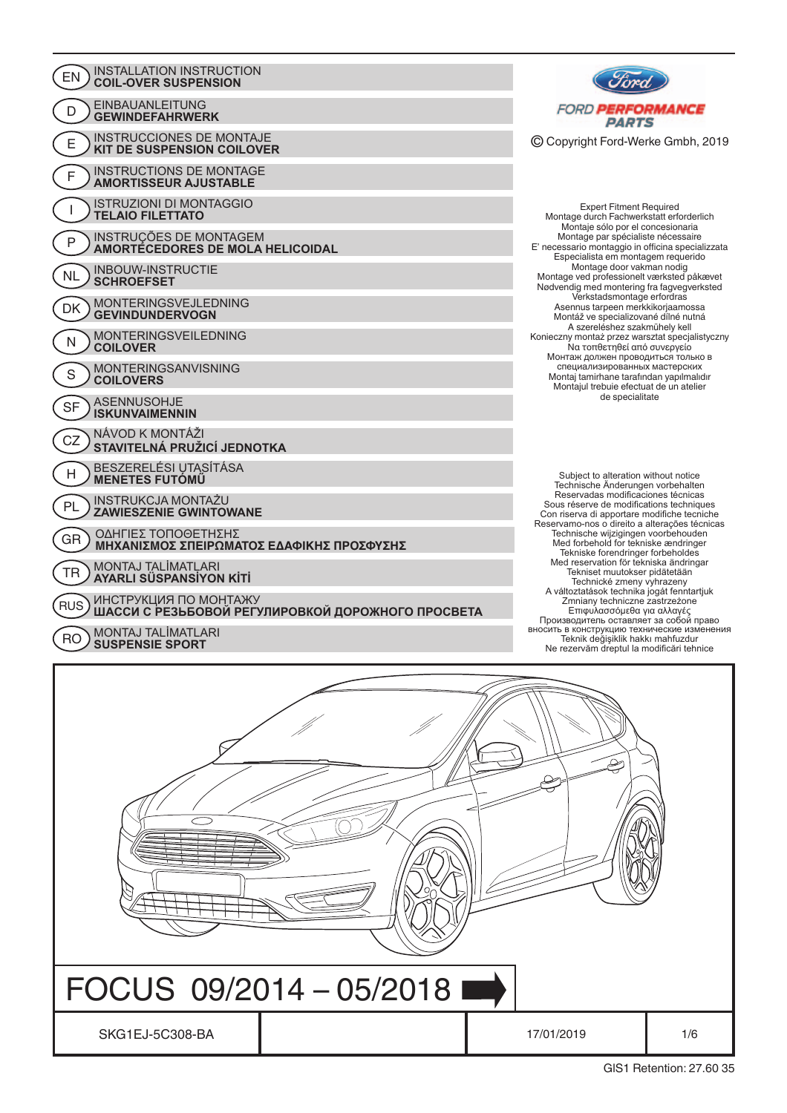| <b>INSTALLATION INSTRUCTION</b><br>EN<br><b>COIL-OVER SUSPENSION</b>                     |                                                                                                                                                                         |
|------------------------------------------------------------------------------------------|-------------------------------------------------------------------------------------------------------------------------------------------------------------------------|
| <b>EINBAUANLEITUNG</b><br>D<br><b>GEWINDEFAHRWERK</b>                                    | <b>FORD PERFORMANCE</b><br><b>PARTS</b>                                                                                                                                 |
| <b>INSTRUCCIONES DE MONTAJE</b><br>Ε<br><b>KIT DE SUSPENSION COILOVER</b>                | C Copyright Ford-Werke Gmbh, 2019                                                                                                                                       |
| <b>INSTRUCTIONS DE MONTAGE</b><br>F<br><b>AMORTISSEUR AJUSTABLE</b>                      |                                                                                                                                                                         |
| <b>ISTRUZIONI DI MONTAGGIO</b><br><b>TELAIO FILETTATO</b>                                | <b>Expert Fitment Required</b><br>Montage durch Fachwerkstatt erforderlich                                                                                              |
| INSTRUÇÕES DE MONTAGEM<br>P<br>AMORTÉCEDORES DE MOLA HELICOIDAL                          | Montaje sólo por el concesionaria<br>Montage par spécialiste nécessaire<br>E' necessario montaggio in officina specializzata<br>Especialista em montagem requerido      |
| <b>INBOUW-INSTRUCTIE</b><br><b>NL</b><br><b>SCHROEFSET</b>                               | Montage door vakman nodig<br>Montage ved professionelt værksted påkævet<br>Nødvendig med montering fra fagvegverksted                                                   |
| MONTERINGSVEJLEDNING<br>DK<br><b>GEVINDUNDERVOGN</b>                                     | Verkstadsmontage erfordras<br>Asennus tarpeen merkkikorjaamossa<br>Montáž ve specializované dílné nutná                                                                 |
| <b>MONTERINGSVEILEDNING</b><br>N<br><b>COILOVER</b>                                      | A szereléshez szakmühely kell<br>Konieczny montaż przez warsztat specjalistyczny<br>Να τοπθετηθεί από συνεργείο                                                         |
| <b>MONTERINGSANVISNING</b><br>S<br><b>COILOVERS</b>                                      | Монтаж должен проводиться только в<br>специализированных мастерских<br>Montaj tamirhane tarafından yapılmalıdır<br>Montajul trebuie efectuat de un atelier              |
| ASENNUSOHJE<br><b>SF</b><br><b>ISKUNVAIMENNIN</b>                                        | de specialitate                                                                                                                                                         |
| NÁVOD K MONTÁŽI<br>CZ<br>STAVITELNÁ PRUŽICÍ JEDNOTKA                                     |                                                                                                                                                                         |
| BESZERELÉSI UTASÍTÁSA<br>Н<br><b>MENETES FUTÓMŰ</b>                                      | Subject to alteration without notice<br>Technische Änderungen vorbehalten                                                                                               |
| <b>INSTRUKCJA MONTAŻU</b><br>PL<br><b>ZAWIESZENIE GWINTOWANE</b>                         | Reservadas modificaciones técnicas<br>Sous réserve de modifications techniques<br>Con riserva di apportare modifiche tecniche                                           |
| ΟΔΗΓΙΕΣ ΤΟΠΟΘΕΤΗΣΗΣ<br>GR<br>ΜΗΧΑΝΙΣΜΟΣ ΣΠΕΙΡΩΜΑΤΟΣ ΕΔΑΦΙΚΗΣ ΠΡΟΣΦΥΣΗΣ                   | Reservamo-nos o direito a alterações técnicas<br>Technische wijzigingen voorbehouden<br>Med forbehold for tekniske ændringer<br>Tekniske forendringer forbeholdes       |
| <b>MONTAJ TALIMATLARI</b><br><b>TR</b><br><b>AYARLI SÜSPANSİYON KİTİ</b>                 | Med reservation för tekniska ändringar<br>Tekniset muutokser pidätetään<br>Technické zmeny vyhrazeny                                                                    |
| ИНСТРУКЦИЯ ПО МОНТАЖУ<br><b>RUS</b><br>ШАССИ С РЕЗЬБОВОЙ РЕГУЛИРОВКОЙ ДОРОЖНОГО ПРОСВЕТА | A változtatások technika jogát fenntartjuk<br>Zmniany techniczne zastrzeżone<br>Επιφυλασσόμεθα για αλλαγές                                                              |
| MONTAJ TALIMATLARI<br><b>RO</b><br><b>SUSPENSIE SPORT</b>                                | Производитель оставляет за собой право<br>вносить в конструкцию технические изменения<br>Teknik değişiklik hakkı mahfuzdur<br>Ne rezervăm dreptul la modificări tehnice |
|                                                                                          |                                                                                                                                                                         |
| FOCUS 09/2014 - 05/2018                                                                  |                                                                                                                                                                         |

SKG1EJ-5C308-BA 17/01/2019 1/6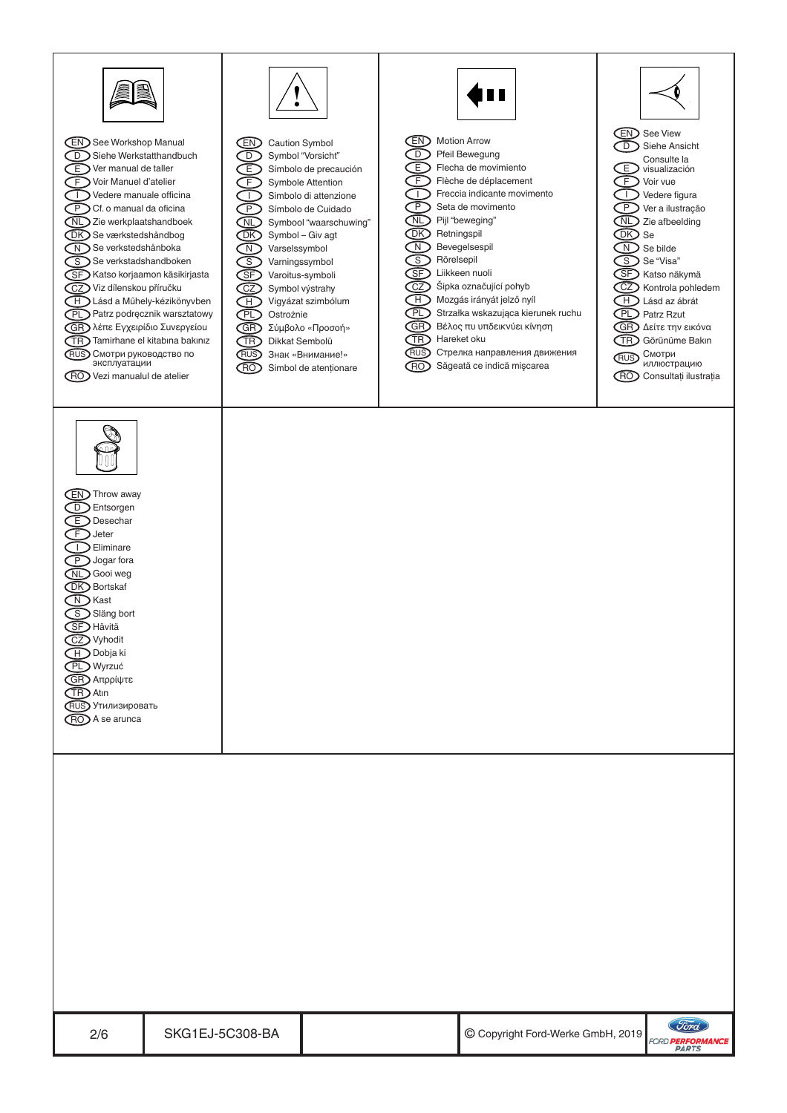| EN See Workshop Manual<br>D Siehe Werkstatthandbuch<br>$E$ Ver manual de taller<br>F Voir Manuel d'atelier<br>Vedere manuale officina<br>P Cf. o manual da oficina<br>NL Zie werkplaatshandboek<br>DK Se værkstedshåndbog<br>N Se verkstedshånboka<br>S Se verkstadshandboken<br>SF Katso korjaamon käsikirjasta<br>CZ Viz dílenskou příručku<br>H Lásd a Műhely-kézikönyvben<br>PD Patrz podręcznik warsztatowy<br>GR λέπε Εγχειρίδιο Συνεργείου<br>TR Tamirhane el kitabına bakınız<br>RUS Смотри руководство по<br>эксплуатации<br>RO Vezi manualul de atelier | <b>Caution Symbol</b><br>END<br>$\bigcirc$<br>E.<br>F<br>$\mathbf{I}$<br>$\mathsf{P}$<br>(NE)<br>DK)<br>Varselssymbol<br>N<br>$\overline{\mathbb{S}}$<br>Varningssymbol<br>SE)<br>CZ<br>EHD.<br><b>FD</b><br>Ostrożnie<br>GR)<br>①<br>(TR<br>Dikkat Sembolü<br>(RUS)<br>(RO) | Symbol "Vorsicht"<br>Símbolo de precaución<br>Symbole Attention<br>Simbolo di attenzione<br>Símbolo de Cuidado<br>Symbool "waarschuwing"<br>Symbol - Giv agt<br>Varoitus-symboli<br>Symbol výstrahy<br>Vigyázat szimbólum<br>Σύμβολο «Προσοή»<br>Знак «Внимание!»<br>Simbol de atenționare | <b>EN</b><br>$\lbrack$ D $\rbrack$<br>$\mathbb{E}$<br>$\mathbb E$<br>$\mathbf{1}$<br>$\mathbb{P}$<br>MD,<br><b>DK)</b><br>$\sqrt{N}$<br>$\mathbb{S}% _{T}=\mathbb{S}_{T}\!\left( a,b\right) ,\ \mathbb{S}_{T}=\mathbb{S}_{T}\!\left( a,b\right) ,$<br>Rörelsepil<br>Œ<br>Œ<br>$\mathbb{E}$<br>PD<br><b>GR)</b><br>TR)<br>(RUS)<br>(RO) | <b>Motion Arrow</b><br>Pfeil Bewegung<br>Flecha de movimiento<br>Flèche de déplacement<br>Freccia indicante movimento<br>Seta de movimento<br>Pijl "beweging"<br>Retningspil<br>Bevegelsespil<br>Liikkeen nuoli<br>Šipka označující pohyb<br>Mozgás irányát jelző nyíl<br>Strzałka wskazująca kierunek ruchu<br>Βέλος πυ υπδεικνύει κίνηση<br>Hareket oku<br>Стрелка направления движения<br>Săgeată ce indică mișcarea | E<br>$\overline{D}$ K $D$ Se<br><b>RUS</b> | EN See View<br>D Siehe Ansicht<br>Consulte la<br>visualización<br>F > Voir vue<br>Vedere figura<br><sup>D</sup> Ver a ilustração<br>NL Zie afbeelding<br>$N$ Se bilde<br>S Se "Visa"<br>SF Katso näkymä<br>CZ Kontrola pohledem<br>H Lásd az ábrát<br>PL Patrz Rzut<br>GR Δείτε την εικόνα<br>TR Görünüme Bakın<br>Смотри<br>иллюстрацию<br>RO Consultați ilustrația |
|-------------------------------------------------------------------------------------------------------------------------------------------------------------------------------------------------------------------------------------------------------------------------------------------------------------------------------------------------------------------------------------------------------------------------------------------------------------------------------------------------------------------------------------------------------------------|------------------------------------------------------------------------------------------------------------------------------------------------------------------------------------------------------------------------------------------------------------------------------|--------------------------------------------------------------------------------------------------------------------------------------------------------------------------------------------------------------------------------------------------------------------------------------------|----------------------------------------------------------------------------------------------------------------------------------------------------------------------------------------------------------------------------------------------------------------------------------------------------------------------------------------|-------------------------------------------------------------------------------------------------------------------------------------------------------------------------------------------------------------------------------------------------------------------------------------------------------------------------------------------------------------------------------------------------------------------------|--------------------------------------------|----------------------------------------------------------------------------------------------------------------------------------------------------------------------------------------------------------------------------------------------------------------------------------------------------------------------------------------------------------------------|
| EN Throw away<br>D Entsorgen<br>E Desechar<br>$F$ Jeter<br>DEliminare<br>P Jogar fora<br>NL Gooi weg<br>DK Bortskaf<br>N Kast<br>S Släng bort<br>SF Hävitä<br>CZ Vyhodit<br>H Dobja ki<br>PL Wyrzuć<br>GR Απρρίψτε<br><b>TR</b> Atın<br>RUS Утилизировать<br>RO A se arunca                                                                                                                                                                                                                                                                                       |                                                                                                                                                                                                                                                                              |                                                                                                                                                                                                                                                                                            |                                                                                                                                                                                                                                                                                                                                        |                                                                                                                                                                                                                                                                                                                                                                                                                         |                                            |                                                                                                                                                                                                                                                                                                                                                                      |
|                                                                                                                                                                                                                                                                                                                                                                                                                                                                                                                                                                   |                                                                                                                                                                                                                                                                              |                                                                                                                                                                                                                                                                                            |                                                                                                                                                                                                                                                                                                                                        |                                                                                                                                                                                                                                                                                                                                                                                                                         |                                            |                                                                                                                                                                                                                                                                                                                                                                      |
| 2/6                                                                                                                                                                                                                                                                                                                                                                                                                                                                                                                                                               | SKG1EJ-5C308-BA                                                                                                                                                                                                                                                              |                                                                                                                                                                                                                                                                                            |                                                                                                                                                                                                                                                                                                                                        | C Copyright Ford-Werke GmbH, 2019                                                                                                                                                                                                                                                                                                                                                                                       |                                            | Ford<br><b>FORD PERFORMANCE</b><br><b>PARTS</b>                                                                                                                                                                                                                                                                                                                      |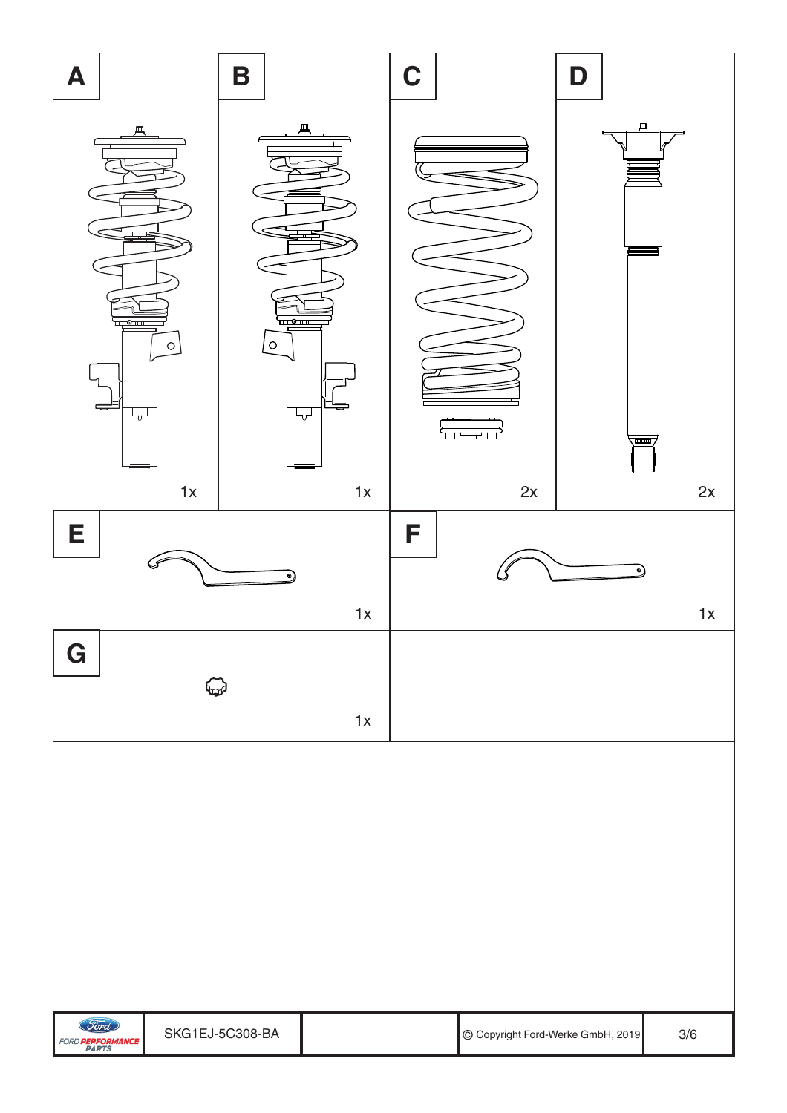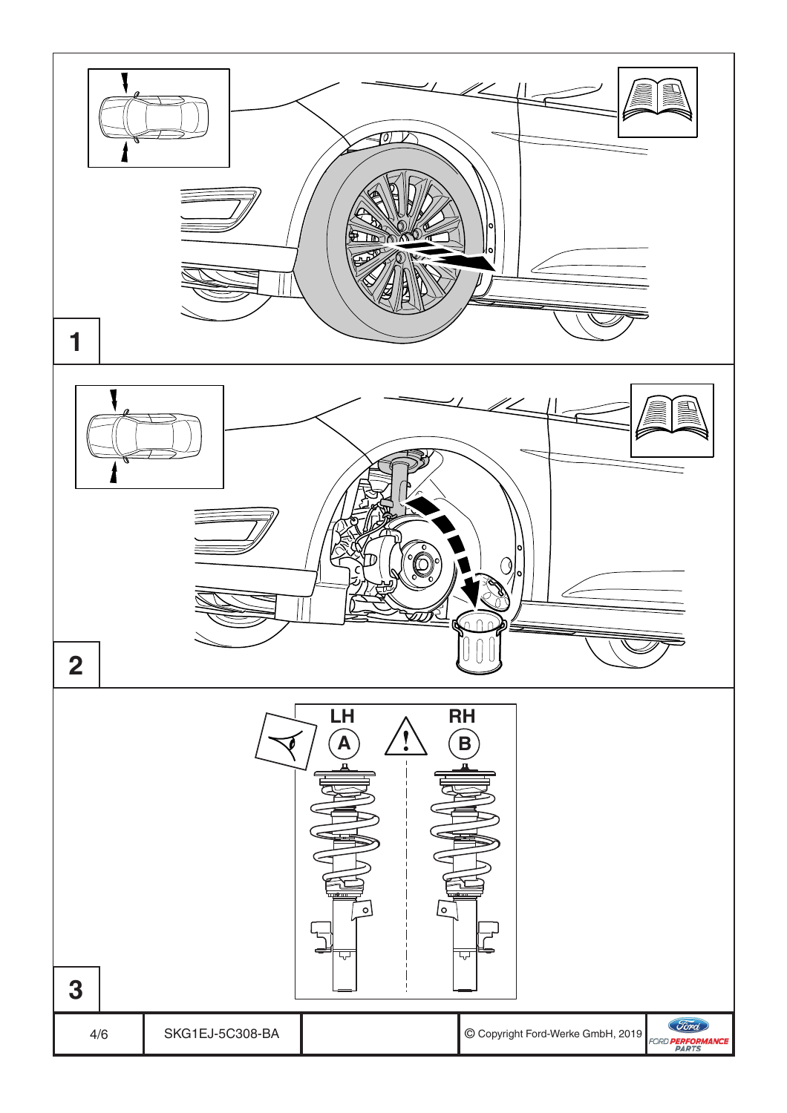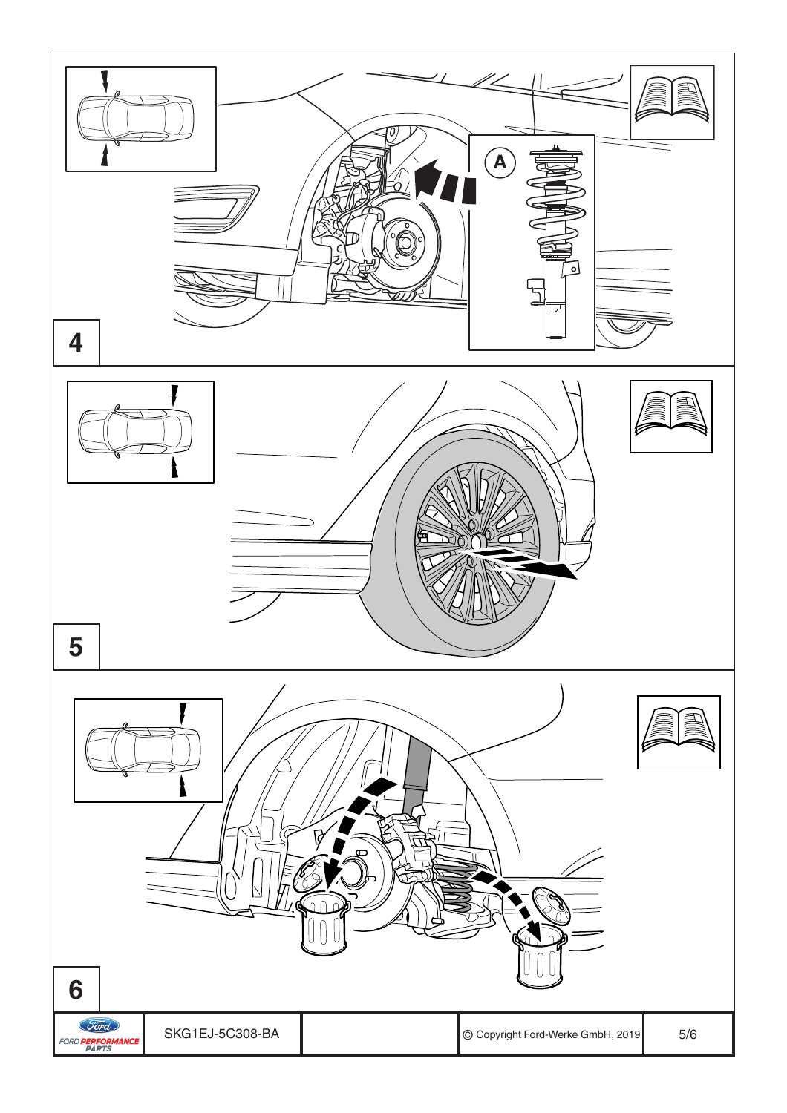